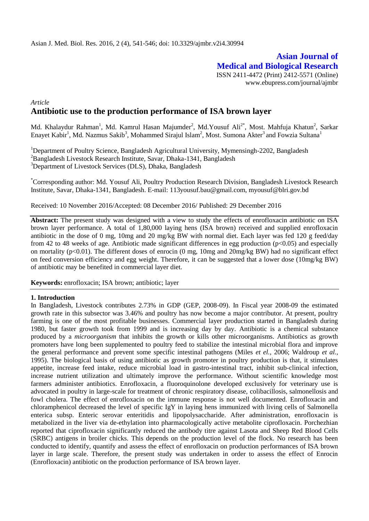# **Asian Journal of Medical and Biological Research** ISSN 2411-4472 (Print) 2412-5571 (Online) www.ebupress.com/journal/ajmbr

# *Article* **Antibiotic use to the production performance of ISA brown layer**

Md. Khalaydur Rahman<sup>1</sup>, Md. Kamrul Hasan Majumder<sup>2</sup>, Md.Yousuf Ali<sup>2\*</sup>, Most. Mahfuja Khatun<sup>2</sup>, Sarkar Enayet Kabir<sup>1</sup>, Md. Nazmus Sakib<sup>3</sup>, Mohammed Sirajul Islam<sup>2</sup>, Most. Sumona Akter<sup>3</sup> and Fowzia Sultana<sup>1</sup>

<sup>1</sup>Department of Poultry Science, Bangladesh Agricultural University, Mymensingh-2202, Bangladesh <sup>2</sup>Bangladesh Livestock Research Institute, Savar, Dhaka-1341, Bangladesh <sup>3</sup>Department of Livestock Services (DLS), Dhaka, Bangladesh

\*Corresponding author: Md. Yousuf Ali, Poultry Production Research Division, Bangladesh Livestock Research Institute, Savar, Dhaka-1341, Bangladesh. E-mail: 113yousuf.bau@gmail.com, myousuf@blri.gov.bd

Received: 10 November 2016/Accepted: 08 December 2016/ Published: 29 December 2016

**Abstract:** The present study was designed with a view to study the effects of enrofloxacin antibiotic on ISA brown layer performance. A total of 1,80,000 laying hens (ISA brown) received and supplied enrofloxacin antibiotic in the dose of 0 mg, 10mg and 20 mg/kg BW with normal diet. Each layer was fed 120 g feed/day from 42 to 48 weeks of age. Antibiotic made significant differences in egg production ( $p<0.05$ ) and especially on mortality ( $p<0.01$ ). The different doses of enrocin (0 mg, 10mg and 20mg/kg BW) had no significant effect on feed conversion efficiency and egg weight. Therefore, it can be suggested that a lower dose (10mg/kg BW) of antibiotic may be benefited in commercial layer diet.

**Keywords:** enrofloxacin; ISA brown; antibiotic; layer

### **1. Introduction**

In Bangladesh, Livestock contributes 2.73% in GDP (GEP, 2008-09). In Fiscal year 2008-09 the estimated growth rate in this subsector was 3.46% and poultry has now become a major contributor. At present, poultry farming is one of the most profitable businesses. Commercial layer production started in Bangladesh during 1980, but faster growth took from 1999 and is increasing day by day. Antibiotic is a chemical substance produced by a *microorganism* that inhibits the growth or kills other microorganisms. Antibiotics as growth promoters have long been supplemented to poultry feed to stabilize the intestinal microbial flora and improve the general performance and prevent some specific intestinal pathogens (Miles *et el.,* 2006; Waldroup *et al.,* 1995). The biological basis of using antibiotic as growth promoter in poultry production is that, it stimulates appetite, increase feed intake, reduce microbial load in gastro-intestinal tract, inhibit sub-clinical infection, increase nutrient utilization and ultimately improve the performance. Without scientific knowledge most farmers administer antibiotics. Enrofloxacin, a fluoroquinolone developed exclusively for veterinary use is advocated in poultry in large-scale for treatment of chronic respiratory disease, colibacillosis, salmonellosis and fowl cholera. The effect of enrofloxacin on the immune response is not well documented. Enrofloxacin and chloramphenicol decreased the level of specific IgY in laying hens immunized with living cells of Salmonella enterica subsp. Enteric serovar enteritidis and lipopolysaccharide. After administration, enrofloxacin is metabolized in the liver via de-ethylation into pharmacologically active metabolite ciprofloxacin. Porchezhian reported that ciprofloxacin significantly reduced the antibody titre against Lasota and Sheep Red Blood Cells (SRBC) antigens in broiler chicks. This depends on the production level of the flock. No research has been conducted to identify, quantify and assess the effect of enrofloxacin on production performances of ISA brown layer in large scale. Therefore, the present study was undertaken in order to assess the effect of Enrocin (Enrofloxacin) antibiotic on the production performance of ISA brown layer.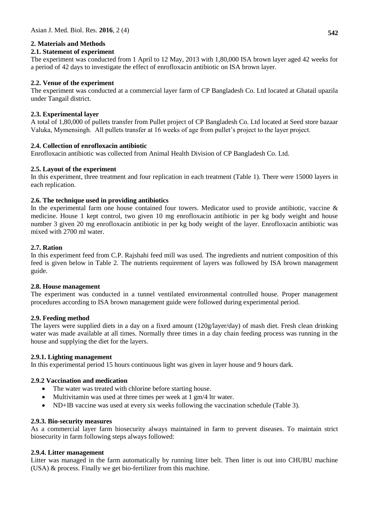# **2. Materials and Methods**

# **2.1. Statement of experiment**

The experiment was conducted from 1 April to 12 May, 2013 with 1,80,000 ISA brown layer aged 42 weeks for a period of 42 days to investigate the effect of enrofloxacin antibiotic on ISA brown layer.

# **2.2. Venue of the experiment**

The experiment was conducted at a commercial layer farm of CP Bangladesh Co. Ltd located at Ghatail upazila under Tangail district.

# **2.3. Experimental layer**

A total of 1,80,000 of pullets transfer from Pullet project of CP Bangladesh Co. Ltd located at Seed store bazaar Valuka, Mymensingh. All pullets transfer at 16 weeks of age from pullet's project to the layer project.

# **2.4. Collection of enrofloxacin antibiotic**

Enrofloxacin antibiotic was collected from Animal Health Division of CP Bangladesh Co. Ltd.

# **2.5. Layout of the experiment**

In this experiment, three treatment and four replication in each treatment (Table 1). There were 15000 layers in each replication.

# **2.6. The technique used in providing antibiotics**

In the experimental farm one house contained four towers. Medicator used to provide antibiotic, vaccine & medicine. House 1 kept control, two given 10 mg enrofloxacin antibiotic in per kg body weight and house number 3 given 20 mg enrofloxacin antibiotic in per kg body weight of the layer. Enrofloxacin antibiotic was mixed with 2700 ml water.

# **2.7. Ration**

In this experiment feed from C.P. Rajshahi feed mill was used. The ingredients and nutrient composition of this feed is given below in Table 2. The nutrients requirement of layers was followed by ISA brown management guide.

### **2.8. House management**

The experiment was conducted in a tunnel ventilated environmental controlled house. Proper management procedures according to ISA brown management guide were followed during experimental period.

### **2.9. Feeding method**

The layers were supplied diets in a day on a fixed amount (120g/layer/day) of mash diet. Fresh clean drinking water was made available at all times. Normally three times in a day chain feeding process was running in the house and supplying the diet for the layers.

### **2.9.1. Lighting management**

In this experimental period 15 hours continuous light was given in layer house and 9 hours dark.

### **2.9.2 Vaccination and medication**

- The water was treated with chlorine before starting house.
- Multivitamin was used at three times per week at 1 gm/4 ltr water.
- ND+IB vaccine was used at every six weeks following the vaccination schedule (Table 3).

### **2.9.3. Bio-security measures**

As a commercial layer farm biosecurity always maintained in farm to prevent diseases. To maintain strict biosecurity in farm following steps always followed:

### **2.9.4. Litter management**

Litter was managed in the farm automatically by running litter belt. Then litter is out into CHUBU machine (USA) & process. Finally we get bio-fertilizer from this machine.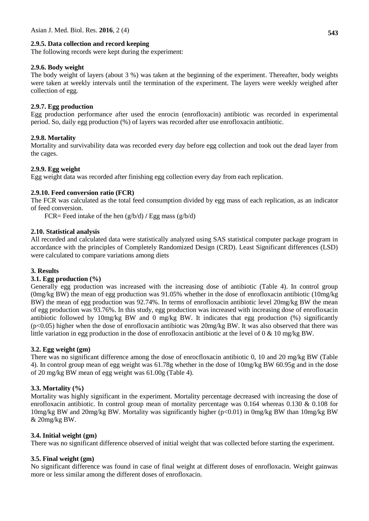# **2.9.5. Data collection and record keeping**

The following records were kept during the experiment:

### **2.9.6. Body weight**

The body weight of layers (about 3 %) was taken at the beginning of the experiment. Thereafter, body weights were taken at weekly intervals until the termination of the experiment. The layers were weekly weighed after collection of egg.

# **2.9.7. Egg production**

Egg production performance after used the enrocin (enrofloxacin) antibiotic was recorded in experimental period. So, daily egg production (%) of layers was recorded after use enrofloxacin antibiotic.

# **2.9.8. Mortality**

Mortality and survivability data was recorded every day before egg collection and took out the dead layer from the cages.

# **2.9.9. Egg weight**

Egg weight data was recorded after finishing egg collection every day from each replication.

# **2.9.10. Feed conversion ratio (FCR)**

The FCR was calculated as the total feed consumption divided by egg mass of each replication, as an indicator of feed conversion.

FCR= Feed intake of the hen (g/b/d) **/** Egg mass (g/b/d)

# **2.10. Statistical analysis**

All recorded and calculated data were statistically analyzed using SAS statistical computer package program in accordance with the principles of Completely Randomized Design (CRD). Least Significant differences (LSD) were calculated to compare variations among diets

### **3. Results**

### **3.1. Egg production (%)**

Generally egg production was increased with the increasing dose of antibiotic (Table 4). In control group (0mg/kg BW) the mean of egg production was 91.05% whether in the dose of enrofloxacin antibiotic (10mg/kg BW) the mean of egg production was 92.74%. In terms of enrofloxacin antibiotic level 20mg/kg BW the mean of egg production was 93.76%. In this study, egg production was increased with increasing dose of enrofloxacin antibiotic followed by 10mg/kg BW and 0 mg/kg BW. It indicates that egg production (%) significantly (p<0.05) higher when the dose of enrofloxacin antibiotic was 20mg/kg BW. It was also observed that there was little variation in egg production in the dose of enrofloxacin antibiotic at the level of  $0 \& 10$  mg/kg BW.

### **3.2. Egg weight (gm)**

There was no significant difference among the dose of enrocfloxacin antibiotic 0, 10 and 20 mg/kg BW (Table 4). In control group mean of egg weight was 61.78g whether in the dose of 10mg/kg BW 60.95g and in the dose of 20 mg/kg BW mean of egg weight was 61.00g (Table 4).

# **3.3. Mortality (%)**

Mortality was highly significant in the experiment. Mortality percentage decreased with increasing the dose of enrofloxacin antibiotic. In control group mean of mortality percentage was 0.164 whereas 0.130 & 0.108 for 10mg/kg BW and 20mg/kg BW. Mortality was significantly higher (p<0.01) in 0mg/kg BW than 10mg/kg BW & 20mg/kg BW.

### **3.4. Initial weight (gm)**

There was no significant difference observed of initial weight that was collected before starting the experiment.

### **3.5. Final weight (gm)**

No significant difference was found in case of final weight at different doses of enrofloxacin. Weight gainwas more or less similar among the different doses of enrofloxacin.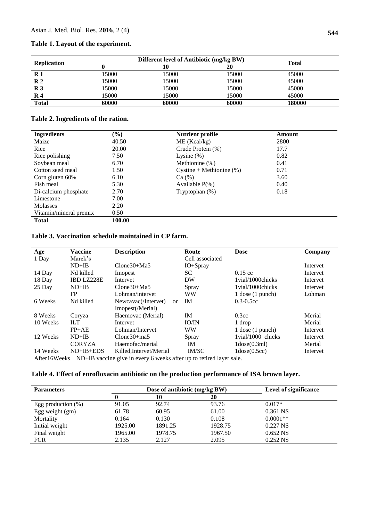#### **Table 1. Layout of the experiment.**

| <b>Replication</b> |       | Different level of Antibiotic (mg/kg BW) |       |              |
|--------------------|-------|------------------------------------------|-------|--------------|
|                    |       | 10                                       | 20    | <b>Total</b> |
| $\mathbf{R}1$      | 15000 | 15000                                    | 15000 | 45000        |
| $\mathbb{R}^2$     | 15000 | 15000                                    | 15000 | 45000        |
| $\mathbb{R}^3$     | 15000 | 15000                                    | 15000 | 45000        |
| $\mathbf{R}$ 4     | 15000 | 15000                                    | 15000 | 45000        |
| <b>Total</b>       | 60000 | 60000                                    | 60000 | 180000       |

# **Table 2. Ingredients of the ration.**

| <b>Ingredients</b>     | $(\%)$ | <b>Nutrient profile</b>     | Amount |
|------------------------|--------|-----------------------------|--------|
| Maize                  | 40.50  | ME (Kcal/kg)                | 2800   |
| Rice                   | 20.00  | Crude Protein (%)           | 17.7   |
| Rice polishing         | 7.50   | Lysine $(\%)$               | 0.82   |
| Soybean meal           | 6.70   | Methionine (%)              | 0.41   |
| Cotton seed meal       | 1.50   | Cystine + Methionine $(\%)$ | 0.71   |
| Corn gluten 60%        | 6.10   | Ca (%)                      | 3.60   |
| Fish meal              | 5.30   | Available $P(\%)$           | 0.40   |
| Di-calcium phosphate   | 2.70   | Tryptophan $(\%)$           | 0.18   |
| Limestone              | 7.00   |                             |        |
| <b>Molasses</b>        | 2.20   |                             |        |
| Vitamin/mineral premix | 0.50   |                             |        |
| <b>Total</b>           | 100.00 |                             |        |

# **Table 3. Vaccination schedule maintained in CP farm.**

| Age          | <b>Vaccine</b>    | <b>Description</b>                                                  | Route           | <b>Dose</b>             | Company  |
|--------------|-------------------|---------------------------------------------------------------------|-----------------|-------------------------|----------|
| 1 Day        | Marek's           |                                                                     | Cell associated |                         |          |
|              | $ND+IB$           | $C$ lone $30+Ma5$                                                   | $IO+Spray$      |                         | Intervet |
| 14 Day       | Nd killed         | Imopest                                                             | SC              | $0.15$ cc               | Intervet |
| 18 Day       | <b>IBD LZ228E</b> | Intervet                                                            | DW              | 1 vial/1000 chicks      | Intervet |
| 25 Day       | $ND+IB$           | $C$ lone $30+Ma5$                                                   | Spray           | 1 vial/1000 chicks      | Intervet |
|              | <b>FP</b>         | Lohman/intervet                                                     | <b>WW</b>       | $1$ dose $(1$ punch)    | Lohman   |
| 6 Weeks      | Nd killed         | Newcavac(/Intervet)<br>or                                           | <b>IM</b>       | $0.3 - 0.5$ cc          |          |
|              |                   | Imopest(/Merial)                                                    |                 |                         |          |
| 8 Weeks      | Coryza            | Haemovac (Merial)                                                   | <b>IM</b>       | 0.3 <sub>cc</sub>       | Merial   |
| 10 Weeks     | <b>ILT</b>        | Intervet                                                            | <b>IO/IN</b>    | 1 drop                  | Merial   |
|              | $FP+AE$           | Lohman/Intervet                                                     | <b>WW</b>       | $1$ dose $(1$ punch $)$ | Intervet |
| 12 Weeks     | $ND+IB$           | $C$ lone $30+$ ma5                                                  | Spray           | 1 vial/1000 chicks      | Intervet |
|              | <b>CORYZA</b>     | Haemofac/merial                                                     | <b>IM</b>       | $1$ dose $(0.3$ ml $)$  | Merial   |
| 14 Weeks     | $ND+IB+EDS$       | Killed, Intervet/Merial                                             | IM/SC           | $1$ dose $(0.5cc)$      | Intervet |
| After16Weeks |                   | ND+IB vaccine give in every 6 weeks after up to retired layer sale. |                 |                         |          |

# **Table 4. Effect of enrofloxacin antibiotic on the production performance of ISA brown layer.**

| <b>Parameters</b>     |         | Dose of antibiotic (mg/kg BW) | <b>Level of significance</b> |            |
|-----------------------|---------|-------------------------------|------------------------------|------------|
|                       | 0       | 10                            | 20                           |            |
| Egg production $(\%)$ | 91.05   | 92.74                         | 93.76                        | $0.017*$   |
| Egg weight $(gm)$     | 61.78   | 60.95                         | 61.00                        | 0.361 NS   |
| Mortality             | 0.164   | 0.130                         | 0.108                        | $0.0001**$ |
| Initial weight        | 1925.00 | 1891.25                       | 1928.75                      | 0.227 NS   |
| Final weight          | 1965.00 | 1978.75                       | 1967.50                      | $0.652$ NS |
| <b>FCR</b>            | 2.135   | 2.127                         | 2.095                        | $0.252$ NS |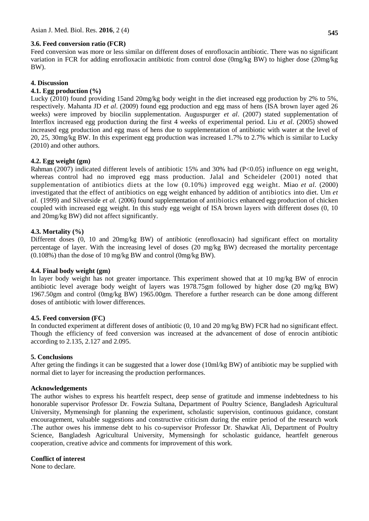Feed conversion was more or less similar on different doses of enrofloxacin antibiotic. There was no significant variation in FCR for adding enrofloxacin antibiotic from control dose (0mg/kg BW) to higher dose (20mg/kg BW).

### **4. Discussion**

### **4.1. Egg production (%)**

Lucky (2010) found providing 15and 20mg/kg body weight in the diet increased egg production by 2% to 5%, respectively. Mahanta JD *et al*. (2009) found egg production and egg mass of hens (ISA brown layer aged 26 weeks) were improved by biocilin supplementation. Auguspurger *et al*. (2007) stated supplementation of Interflox increased egg production during the first 4 weeks of experimental period. Liu *et al*. (2005) showed increased egg production and egg mass of hens due to supplementation of antibiotic with water at the level of 20, 25, 30mg/kg BW. In this experiment egg production was increased 1.7% to 2.7% which is similar to Lucky (2010) and other authors.

#### **4.2. Egg weight (gm)**

Rahman (2007) indicated different levels of antibiotic 15% and 30% had (P<0.05) influence on egg weight, whereas control had no improved egg mass production. Jalal and Scheideler (2001) noted that supplementation of antibiotics diets at the low (0.10%) improved egg weight. Miao *et al.* (2000) investigated that the effect of antibiotics on egg weight enhanced by addition of antibiotics into diet. Um *et al.* (1999) and Silverside *et al.* (2006) found supplementation of antibiotics enhanced egg production of chicken coupled with increased egg weight. In this study egg weight of ISA brown layers with different doses (0, 10 and 20mg/kg BW) did not affect significantly.

### **4.3. Mortality (%)**

Different doses (0, 10 and 20mg/kg BW) of antibiotic (enrofloxacin) had significant effect on mortality percentage of layer. With the increasing level of doses (20 mg/kg BW) decreased the mortality percentage (0.108%) than the dose of 10 mg/kg BW and control (0mg/kg BW).

### **4.4. Final body weight (gm)**

In layer body weight has not greater importance. This experiment showed that at 10 mg/kg BW of enrocin antibiotic level average body weight of layers was 1978.75gm followed by higher dose (20 mg/kg BW) 1967.50gm and control (0mg/kg BW) 1965.00gm. Therefore a further research can be done among different doses of antibiotic with lower differences.

#### **4.5. Feed conversion (FC)**

In conducted experiment at different doses of antibiotic (0, 10 and 20 mg/kg BW) FCR had no significant effect. Though the efficiency of feed conversion was increased at the advancement of dose of enrocin antibiotic according to 2.135, 2.127 and 2.095.

### **5. Conclusions**

After geting the findings it can be suggested that a lower dose (10ml/kg BW) of antibiotic may be supplied with normal diet to layer for increasing the production performances.

#### **Acknowledgements**

The author wishes to express his heartfelt respect, deep sense of gratitude and immense indebtedness to his honorable supervisor Professor Dr. Fowzia Sultana, Department of Poultry Science, Bangladesh Agricultural University, Mymensingh for planning the experiment, scholastic supervision, continuous guidance, constant encouragement, valuable suggestions and constructive criticism during the entire period of the research work .The author owes his immense debt to his co-supervisor Professor Dr. Shawkat Ali, Department of Poultry Science, Bangladesh Agricultural University, Mymensingh for scholastic guidance, heartfelt generous cooperation, creative advice and comments for improvement of this work.

# **Conflict of interest**

None to declare.